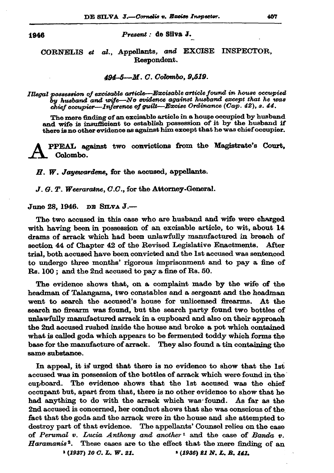1946

Present : de Silva J.

CORNELIS et al., Appellants, and EXCISE INSPECTOR. Respondent.

## 494-5--M. C. Colombo, 9,519.

Illegal possession of excisable article—Excisable article found in house occupied  $\hat{b}$ y husband and wife—No evidence against husband except that he was chief occupier—Inference of guilt—Excise Ordinance (Cap. 42), s. 44.

The mere finding of an excisable article in a house occupied by husband and wife is insufficient to establish possession of it by the husband if there is no other evidence as against him except that he was chief occupier.

PPEAL against two convictions from the Magistrate's Court, Colombo.

H. W. Jayewardene, for the accused, appellants.

 $J, G, T$ . Weeraratne,  $C.C.$ , for the Attorney-General.

June 28, 1946. DE SILVA J.-

The two accused in this case who are husband and wife were charged with having been in possession of an excisable article, to wit, about 14 drams of arrack which had been unlawfully manufactured in breach of section 44 of Chapter 42 of the Revised Legislative Enactments. After trial, both accused have been convicted and the 1st accused was sentenced to undergo three months' rigorous imprisonment and to pay a fine of Rs. 100; and the 2nd accused to pay a fine of Rs. 50.

The evidence shows that, on a complaint made by the wife of the headman of Talangama, two constables and a sergeant and the headman went to search the accused's house for unlicensed firearms. At the search no firearm was found, but the search party found two bottles of unlawfully manufactured arrack in a cupboard and also on their approach the 2nd accused rushed inside the house and broke a pot which contained what is called goda which appears to be fermented toddy which forms the base for the manufacture of arrack. They also found a tin containing the same substance.

In appeal, it is urged that there is no evidence to show that the 1st accused was in possession of the bottles of arrack which were found in the cupboard. The evidence shows that the 1st accused was the chief occupant but, apart from that, there is no other evidence to show that he had anything to do with the arrack which was found. As far as the 2nd accused is concerned, her conduct shows that she was conscious of the fact that the goda and the arrack were in the house and she attempted to destroy part of that evidence. The appellants' Counsel relies on the case of Perumal v. Lucia Anthony and another<sup>1</sup> and the case of Banda v. Haramanis<sup>2</sup>. These cases are to the effect that the mere finding of an  $1(1937)$  10 C.L.W. 21. <sup>2</sup> (1936) 21 N.L. B. 141.